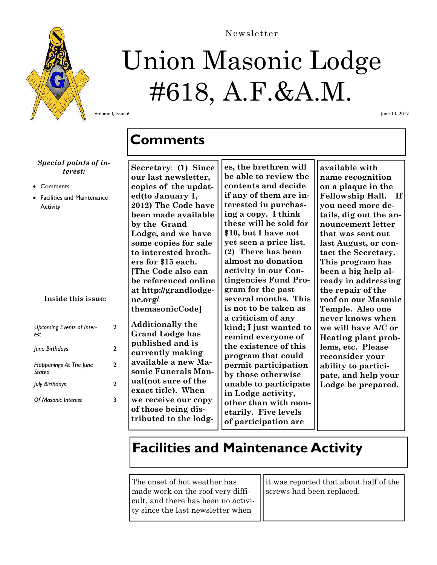

# Union Masonic Lodge #618, A.F.&A.M.

Newsletter

Volume I, Issue 6

June 13, 2012

#### *Special points of interest:*

- **Comments**
- Facilities and Maintenance **Activity**

#### **Inside this issue:**

| Upcoming Events of Inter-<br>est | 2 |
|----------------------------------|---|
| June Birthdays                   | 2 |
| Happenings At The June<br>Stated | 2 |
| July Birthdays                   | 2 |
| <b>Of Masonic Interest</b>       |   |

#### **Comments**

**Secretary**: **(1) Since our last newsletter, copies of the updated(to January 1, 2012) The Code have been made available by the Grand Lodge, and we have some copies for sale to interested brothers for \$15 each. [The Code also can be referenced online at http://grandlodgenc.org/ themasonicCode]** 

**Additionally the Grand Lodge has published and is currently making available a new Masonic Funerals Manual(not sure of the exact title). When we receive our copy of those being distributed to the lodg-**

**es, the brethren will be able to review the contents and decide if any of them are interested in purchasing a copy. I think these will be sold for \$10, but I have not yet seen a price list. (2) There has been almost no donation activity in our Contingencies Fund Program for the past several months. This is not to be taken as a criticism of any kind; I just wanted to remind everyone of the existence of this program that could permit participation by those otherwise unable to participate in Lodge activity, other than with monetarily. Five levels of participation are** 

**available with name recognition on a plaque in the Fellowship Hall. If you need more details, dig out the announcement letter that was sent out last August, or contact the Secretary. This program has been a big help already in addressing the repair of the roof on our Masonic Temple. Also one never knows when we will have A/C or Heating plant problems, etc. Please reconsider your ability to participate, and help your Lodge be prepared.**

### **Facilities and Maintenance Activity**

The onset of hot weather has made work on the roof very difficult, and there has been no activity since the last newsletter when

it was reported that about half of the screws had been replaced.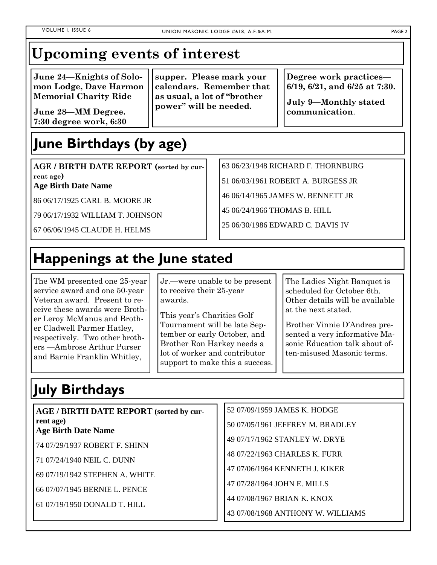### **Upcoming events of interest**

**June 24—Knights of Solomon Lodge, Dave Harmon Memorial Charity Ride** 

**June 28—MM Degree. 7:30 degree work, 6:30** 

**supper. Please mark your calendars. Remember that as usual, a lot of "brother power" will be needed.** 

**Degree work practices— 6/19, 6/21, and 6/25 at 7:30.** 

**July 9—Monthly stated communication**.

# **June Birthdays (by age)**

**AGE / BIRTH DATE REPORT (sorted by current age)** 

**Age Birth Date Name** 

86 06/17/1925 CARL B. MOORE JR

79 06/17/1932 WILLIAM T. JOHNSON

67 06/06/1945 CLAUDE H. HELMS

63 06/23/1948 RICHARD F. THORNBURG

51 06/03/1961 ROBERT A. BURGESS JR

46 06/14/1965 JAMES W. BENNETT JR

45 06/24/1966 THOMAS B. HILL

25 06/30/1986 EDWARD C. DAVIS IV

# **Happenings at the June stated**

The WM presented one 25-year service award and one 50-year Veteran award. Present to receive these awards were Brother Leroy McManus and Brother Cladwell Parmer Hatley, respectively. Two other brothers —Ambrose Arthur Purser and Barnie Franklin Whitley,

Jr.—were unable to be present to receive their 25-year awards.

This year's Charities Golf Tournament will be late September or early October, and Brother Ron Harkey needs a lot of worker and contributor support to make this a success. The Ladies Night Banquet is scheduled for October 6th. Other details will be available at the next stated.

Brother Vinnie D'Andrea presented a very informative Masonic Education talk about often-misused Masonic terms.

# **July Birthdays**

| <b>AGE / BIRTH DATE REPORT (sorted by cur-</b> | 52 07/09/1959 JAMES K. HODGE      |
|------------------------------------------------|-----------------------------------|
| rent age)<br><b>Age Birth Date Name</b>        | 50 07/05/1961 JEFFREY M. BRADLEY  |
| 74 07/29/1937 ROBERT F. SHINN                  | 49 07/17/1962 STANLEY W. DRYE     |
| 71 07/24/1940 NEIL C. DUNN                     | 48 07/22/1963 CHARLES K. FURR     |
|                                                | 47 07/06/1964 KENNETH J. KIKER    |
| 69 07/19/1942 STEPHEN A. WHITE                 | 47 07/28/1964 JOHN E. MILLS       |
| 66 07/07/1945 BERNIE L. PENCE                  | 44 07/08/1967 BRIAN K. KNOX       |
| 61 07/19/1950 DONALD T. HILL                   | 43 07/08/1968 ANTHONY W. WILLIAMS |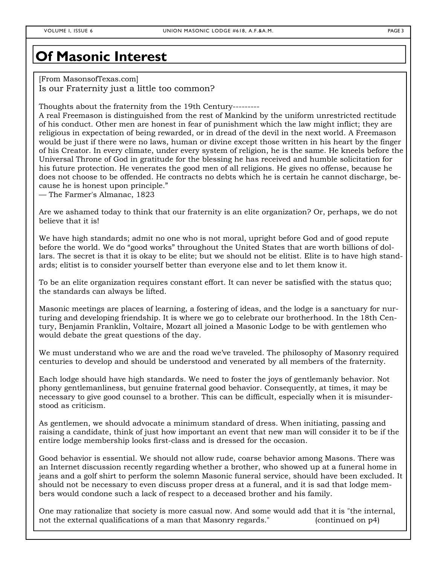#### **Of Masonic Interest**

[From MasonsofTexas.com] Is our Fraternity just a little too common?

Thoughts about the fraternity from the 19th Century---------

A real Freemason is distinguished from the rest of Mankind by the uniform unrestricted rectitude of his conduct. Other men are honest in fear of punishment which the law might inflict; they are religious in expectation of being rewarded, or in dread of the devil in the next world. A Freemason would be just if there were no laws, human or divine except those written in his heart by the finger of his Creator. In every climate, under every system of religion, he is the same. He kneels before the Universal Throne of God in gratitude for the blessing he has received and humble solicitation for his future protection. He venerates the good men of all religions. He gives no offense, because he does not choose to be offended. He contracts no debts which he is certain he cannot discharge, because he is honest upon principle."

— The Farmer's Almanac, 1823

Are we ashamed today to think that our fraternity is an elite organization? Or, perhaps, we do not believe that it is!

We have high standards; admit no one who is not moral, upright before God and of good repute before the world. We do "good works" throughout the United States that are worth billions of dollars. The secret is that it is okay to be elite; but we should not be elitist. Elite is to have high standards; elitist is to consider yourself better than everyone else and to let them know it.

To be an elite organization requires constant effort. It can never be satisfied with the status quo; the standards can always be lifted.

Masonic meetings are places of learning, a fostering of ideas, and the lodge is a sanctuary for nurturing and developing friendship. It is where we go to celebrate our brotherhood. In the 18th Century, Benjamin Franklin, Voltaire, Mozart all joined a Masonic Lodge to be with gentlemen who would debate the great questions of the day.

We must understand who we are and the road we've traveled. The philosophy of Masonry required centuries to develop and should be understood and venerated by all members of the fraternity.

Each lodge should have high standards. We need to foster the joys of gentlemanly behavior. Not phony gentlemanliness, but genuine fraternal good behavior. Consequently, at times, it may be necessary to give good counsel to a brother. This can be difficult, especially when it is misunderstood as criticism.

As gentlemen, we should advocate a minimum standard of dress. When initiating, passing and raising a candidate, think of just how important an event that new man will consider it to be if the entire lodge membership looks first-class and is dressed for the occasion.

Good behavior is essential. We should not allow rude, coarse behavior among Masons. There was an Internet discussion recently regarding whether a brother, who showed up at a funeral home in jeans and a golf shirt to perform the solemn Masonic funeral service, should have been excluded. It should not be necessary to even discuss proper dress at a funeral, and it is sad that lodge members would condone such a lack of respect to a deceased brother and his family.

One may rationalize that society is more casual now. And some would add that it is "the internal, not the external qualifications of a man that Masonry regards." (continued on p4)